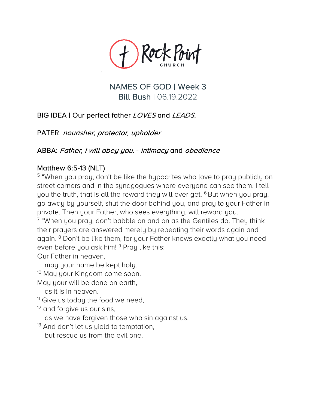

NAMES OF GOD | Week 3 Bill Bush | 06.19.2022

## BIG IDEA | Our perfect father *LOVES* and *LEADS*.

PATER: nourisher, protector, upholder

`

## ABBA: Father, I will obey you. - Intimacy and obedience

Matthew 6:5-13 (NLT)<br><sup>5</sup> "When you pray, don't be like the hypocrites who love to pray publicly on street corners and in the synagogues where everyone can see them. I tell you the truth, that is all the reward they will ever get. <sup>6</sup> But when you pray, go away by yourself, shut the door behind you, and pray to your Father in private. Then your Father, who sees everything, will reward you.

 $7$  "When you pray, don't babble on and on as the Gentiles do. They think their prayers are answered merely by repeating their words again and again. <sup>8</sup> Don't be like them, for your Father knows exactly what you need even before you ask him! <sup>9</sup> Pray like this:

Our Father in heaven,

may your name be kept holy.

<sup>10</sup> May your Kingdom come soon.

May your will be done on earth,

- as it is in heaven.
- <sup>11</sup> Give us today the food we need,
- <sup>12</sup> and forgive us our sins,

as we have forgiven those who sin against us.

 $13$  And don't let us yield to temptation, but rescue us from the evil one.